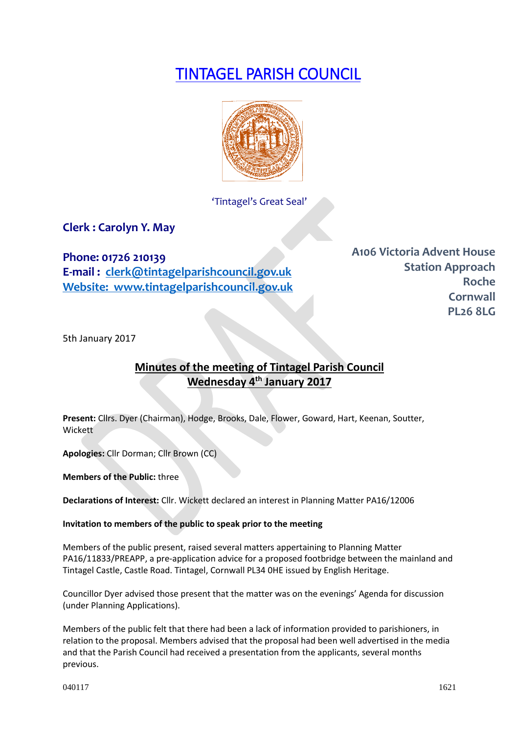# TINTAGEL PARISH COUNCIL



'Tintagel's Great Seal'

**Clerk : Carolyn Y. May**

**Phone: 01726 210139**

**E-mail : [clerk@tintagelparishcouncil.gov.uk](mailto:clerk@tintagelparishcouncil.gov.uk) Website: www.tintagelparishcouncil.gov.uk** **A106 Victoria Advent House Station Approach Roche Cornwall PL26 8LG**

5th January 2017

## **Minutes of the meeting of Tintagel Parish Council Wednesday 4th January 2017**

**Present:** Cllrs. Dyer (Chairman), Hodge, Brooks, Dale, Flower, Goward, Hart, Keenan, Soutter, Wickett

**Apologies:** Cllr Dorman; Cllr Brown (CC)

**Members of the Public:** three

**Declarations of Interest:** Cllr. Wickett declared an interest in Planning Matter PA16/12006

#### **Invitation to members of the public to speak prior to the meeting**

Members of the public present, raised several matters appertaining to Planning Matter PA16/11833/PREAPP, a pre-application advice for a proposed footbridge between the mainland and Tintagel Castle, Castle Road. Tintagel, Cornwall PL34 0HE issued by English Heritage.

Councillor Dyer advised those present that the matter was on the evenings' Agenda for discussion (under Planning Applications).

Members of the public felt that there had been a lack of information provided to parishioners, in relation to the proposal. Members advised that the proposal had been well advertised in the media and that the Parish Council had received a presentation from the applicants, several months previous.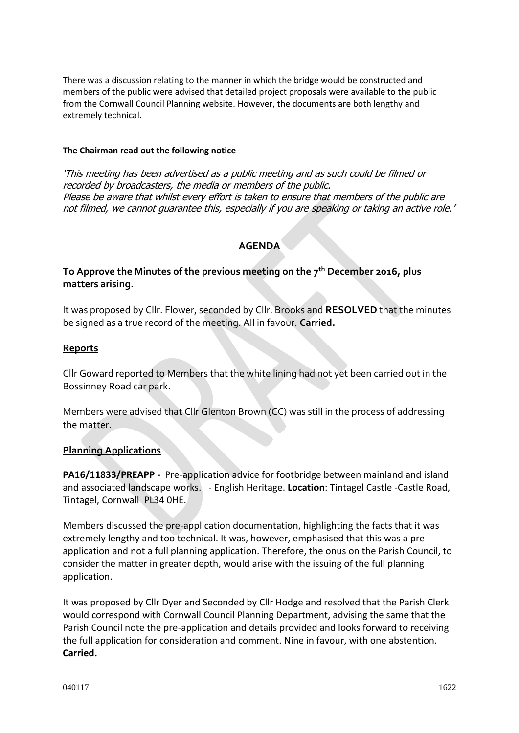There was a discussion relating to the manner in which the bridge would be constructed and members of the public were advised that detailed project proposals were available to the public from the Cornwall Council Planning website. However, the documents are both lengthy and extremely technical.

#### **The Chairman read out the following notice**

'This meeting has been advertised as a public meeting and as such could be filmed or recorded by broadcasters, the media or members of the public. Please be aware that whilst every effort is taken to ensure that members of the public are not filmed, we cannot guarantee this, especially if you are speaking or taking an active role.'

## **AGENDA**

## **To Approve the Minutes of the previous meeting on the 7th December 2016, plus matters arising.**

It was proposed by Cllr. Flower, seconded by Cllr. Brooks and **RESOLVED** that the minutes be signed as a true record of the meeting. All in favour. **Carried.**

#### **Reports**

Cllr Goward reported to Members that the white lining had not yet been carried out in the Bossinney Road car park.

Members were advised that Cllr Glenton Brown (CC) was still in the process of addressing the matter.

#### **Planning Applications**

**PA16/11833/PREAPP -** Pre-application advice for footbridge between mainland and island and associated landscape works. - English Heritage. **Location**: Tintagel Castle -Castle Road, Tintagel, Cornwall PL34 0HE.

Members discussed the pre-application documentation, highlighting the facts that it was extremely lengthy and too technical. It was, however, emphasised that this was a preapplication and not a full planning application. Therefore, the onus on the Parish Council, to consider the matter in greater depth, would arise with the issuing of the full planning application.

It was proposed by Cllr Dyer and Seconded by Cllr Hodge and resolved that the Parish Clerk would correspond with Cornwall Council Planning Department, advising the same that the Parish Council note the pre-application and details provided and looks forward to receiving the full application for consideration and comment. Nine in favour, with one abstention. **Carried.**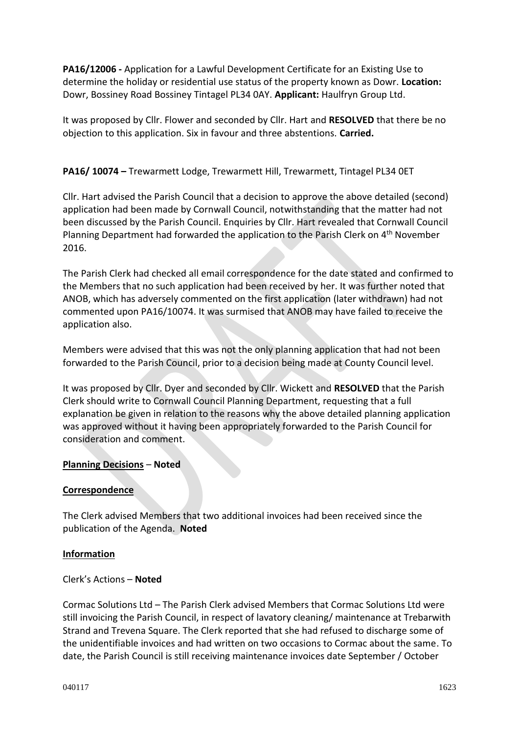**PA16/12006 -** Application for a Lawful Development Certificate for an Existing Use to determine the holiday or residential use status of the property known as Dowr. **Location:**  Dowr, Bossiney Road Bossiney Tintagel PL34 0AY. **Applicant:** Haulfryn Group Ltd.

It was proposed by Cllr. Flower and seconded by Cllr. Hart and **RESOLVED** that there be no objection to this application. Six in favour and three abstentions. **Carried.**

## **PA16/ 10074 –** Trewarmett Lodge, Trewarmett Hill, Trewarmett, Tintagel PL34 0ET

Cllr. Hart advised the Parish Council that a decision to approve the above detailed (second) application had been made by Cornwall Council, notwithstanding that the matter had not been discussed by the Parish Council. Enquiries by Cllr. Hart revealed that Cornwall Council Planning Department had forwarded the application to the Parish Clerk on 4<sup>th</sup> November 2016.

The Parish Clerk had checked all email correspondence for the date stated and confirmed to the Members that no such application had been received by her. It was further noted that ANOB, which has adversely commented on the first application (later withdrawn) had not commented upon PA16/10074. It was surmised that ANOB may have failed to receive the application also.

Members were advised that this was not the only planning application that had not been forwarded to the Parish Council, prior to a decision being made at County Council level.

It was proposed by Cllr. Dyer and seconded by Cllr. Wickett and **RESOLVED** that the Parish Clerk should write to Cornwall Council Planning Department, requesting that a full explanation be given in relation to the reasons why the above detailed planning application was approved without it having been appropriately forwarded to the Parish Council for consideration and comment.

## **Planning Decisions** – **Noted**

#### **Correspondence**

The Clerk advised Members that two additional invoices had been received since the publication of the Agenda. **Noted**

#### **Information**

#### Clerk's Actions – **Noted**

Cormac Solutions Ltd – The Parish Clerk advised Members that Cormac Solutions Ltd were still invoicing the Parish Council, in respect of lavatory cleaning/ maintenance at Trebarwith Strand and Trevena Square. The Clerk reported that she had refused to discharge some of the unidentifiable invoices and had written on two occasions to Cormac about the same. To date, the Parish Council is still receiving maintenance invoices date September / October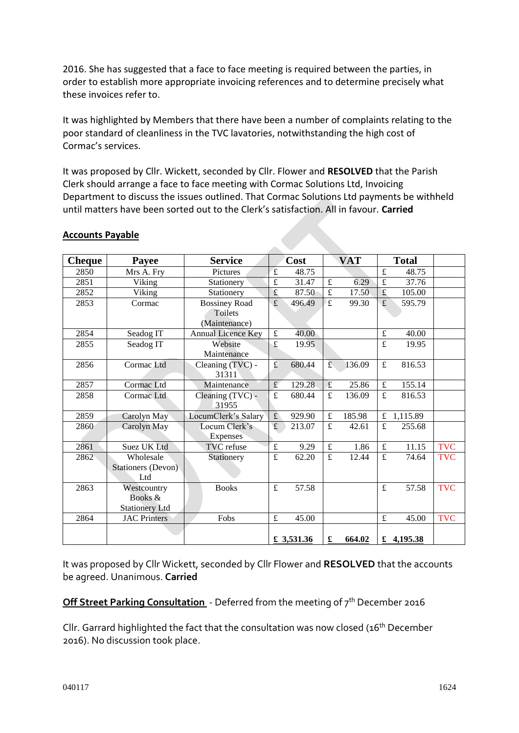2016. She has suggested that a face to face meeting is required between the parties, in order to establish more appropriate invoicing references and to determine precisely what these invoices refer to.

It was highlighted by Members that there have been a number of complaints relating to the poor standard of cleanliness in the TVC lavatories, notwithstanding the high cost of Cormac's services.

It was proposed by Cllr. Wickett, seconded by Cllr. Flower and **RESOLVED** that the Parish Clerk should arrange a face to face meeting with Cormac Solutions Ltd, Invoicing Department to discuss the issues outlined. That Cormac Solutions Ltd payments be withheld until matters have been sorted out to the Clerk's satisfaction. All in favour. **Carried**

| <b>Cheque</b> | Payee                     | <b>Service</b>            | Cost                    |            | <b>VAT</b>  |        | <b>Total</b>   |              |            |
|---------------|---------------------------|---------------------------|-------------------------|------------|-------------|--------|----------------|--------------|------------|
| 2850          | Mrs A. Fry                | Pictures                  | $\mathbf f$             | 48.75      |             |        | $\mathbf f$    | 48.75        |            |
| 2851          | Viking                    | Stationery                | £                       | 31.47      | $\pounds$   | 6.29   | £              | 37.76        |            |
| 2852          | Viking                    | Stationery                | £                       | 87.50      | £           | 17.50  | $\mathbf f$    | 105.00       |            |
| 2853          | Cormac                    | <b>Bossiney Road</b>      | $\overline{\mathbf{f}}$ | 496.49     | $\mathbf f$ | 99.30  | £              | 595.79       |            |
|               |                           | Toilets                   |                         |            |             |        |                |              |            |
|               |                           | (Maintenance)             |                         |            |             |        |                |              |            |
| 2854          | Seadog IT                 | <b>Annual Licence Key</b> | $\overline{f}$          | 40.00      |             |        | $\pounds$      | 40.00        |            |
| 2855          | Seadog IT                 | Website                   | $\overline{f}$          | 19.95      |             |        | $\overline{f}$ | 19.95        |            |
|               |                           | Maintenance               |                         |            |             |        |                |              |            |
| 2856          | Cormac Ltd                | Cleaning (TVC) -          | $\mathbf f$             | 680.44     | f           | 136.09 | $\pounds$      | 816.53       |            |
|               |                           | 31311                     |                         |            |             |        |                |              |            |
| 2857          | Cormac Ltd                | Maintenance               | $\pounds$               | 129.28     | $\mathbf f$ | 25.86  | $\pounds$      | 155.14       |            |
| 2858          | Cormac Ltd                | Cleaning (TVC) -          | £                       | 680.44     | £           | 136.09 | £              | 816.53       |            |
|               |                           | 31955                     |                         |            |             |        |                |              |            |
| 2859          | Carolyn May               | LocumClerk's Salary       | $\mathbf f$             | 929.90     | £           | 185.98 | £              | 1,115.89     |            |
| 2860          | Carolyn May               | Locum Clerk's             | f                       | 213.07     | £           | 42.61  | £              | 255.68       |            |
|               |                           | <b>Expenses</b>           |                         |            |             |        |                |              |            |
| 2861          | <b>Suez UK Ltd</b>        | TVC refuse                | $\pounds$               | 9.29       | $\pounds$   | 1.86   | $\pounds$      | 11.15        | <b>TVC</b> |
| 2862          | Wholesale                 | Stationery                | $\pounds$               | 62.20      | $\mathbf f$ | 12.44  | $\mathbf f$    | 74.64        | <b>TVC</b> |
|               | <b>Stationers (Devon)</b> |                           |                         |            |             |        |                |              |            |
|               | Ltd                       |                           |                         |            |             |        |                |              |            |
| 2863          | Westcountry               | <b>Books</b>              | $\mathbf f$             | 57.58      |             |        | $\mathbf f$    | 57.58        | <b>TVC</b> |
|               | Books &                   |                           |                         |            |             |        |                |              |            |
|               | <b>Stationery Ltd</b>     |                           |                         |            |             |        |                |              |            |
| 2864          | <b>JAC Printers</b>       | Fobs                      | $\pounds$               | 45.00      |             |        | $\pounds$      | 45.00        | <b>TVC</b> |
|               |                           |                           |                         |            |             |        |                |              |            |
|               |                           |                           |                         | £ 3,531.36 | £           | 664.02 |                | £ $4,195.38$ |            |

#### **Accounts Payable**

It was proposed by Cllr Wickett, seconded by Cllr Flower and **RESOLVED** that the accounts be agreed. Unanimous. **Carried**

**Off Street Parking Consultation** - Deferred from the meeting of 7<sup>th</sup> December 2016

Cllr. Garrard highlighted the fact that the consultation was now closed ( $16<sup>th</sup>$  December 2016). No discussion took place.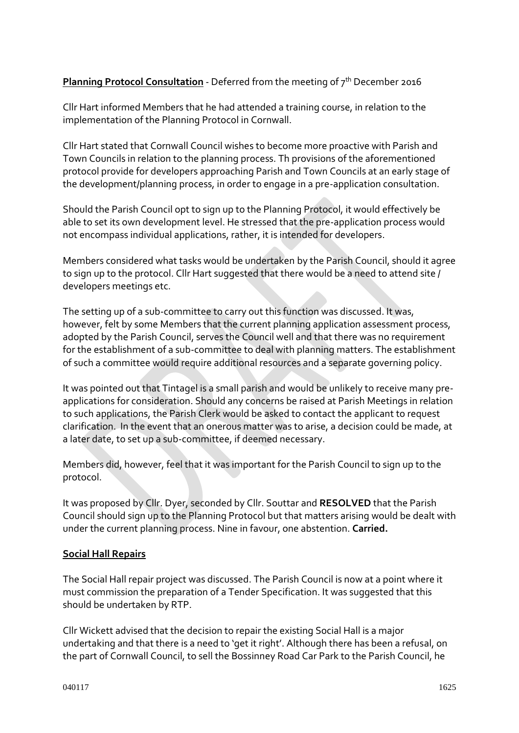## **Planning Protocol Consultation** - Deferred from the meeting of 7<sup>th</sup> December 2016

Cllr Hart informed Members that he had attended a training course, in relation to the implementation of the Planning Protocol in Cornwall.

Cllr Hart stated that Cornwall Council wishes to become more proactive with Parish and Town Councils in relation to the planning process. Th provisions of the aforementioned protocol provide for developers approaching Parish and Town Councils at an early stage of the development/planning process, in order to engage in a pre-application consultation.

Should the Parish Council opt to sign up to the Planning Protocol, it would effectively be able to set its own development level. He stressed that the pre-application process would not encompass individual applications, rather, it is intended for developers.

Members considered what tasks would be undertaken by the Parish Council, should it agree to sign up to the protocol. Cllr Hart suggested that there would be a need to attend site / developers meetings etc.

The setting up of a sub-committee to carry out this function was discussed. It was, however, felt by some Members that the current planning application assessment process, adopted by the Parish Council, serves the Council well and that there was no requirement for the establishment of a sub-committee to deal with planning matters. The establishment of such a committee would require additional resources and a separate governing policy.

It was pointed out that Tintagel is a small parish and would be unlikely to receive many preapplications for consideration. Should any concerns be raised at Parish Meetings in relation to such applications, the Parish Clerk would be asked to contact the applicant to request clarification. In the event that an onerous matter was to arise, a decision could be made, at a later date, to set up a sub-committee, if deemed necessary.

Members did, however, feel that it was important for the Parish Council to sign up to the protocol.

It was proposed by Cllr. Dyer, seconded by Cllr. Souttar and **RESOLVED** that the Parish Council should sign up to the Planning Protocol but that matters arising would be dealt with under the current planning process. Nine in favour, one abstention. **Carried.**

## **Social Hall Repairs**

The Social Hall repair project was discussed. The Parish Council is now at a point where it must commission the preparation of a Tender Specification. It was suggested that this should be undertaken by RTP.

Cllr Wickett advised that the decision to repair the existing Social Hall is a major undertaking and that there is a need to 'get it right'. Although there has been a refusal, on the part of Cornwall Council, to sell the Bossinney Road Car Park to the Parish Council, he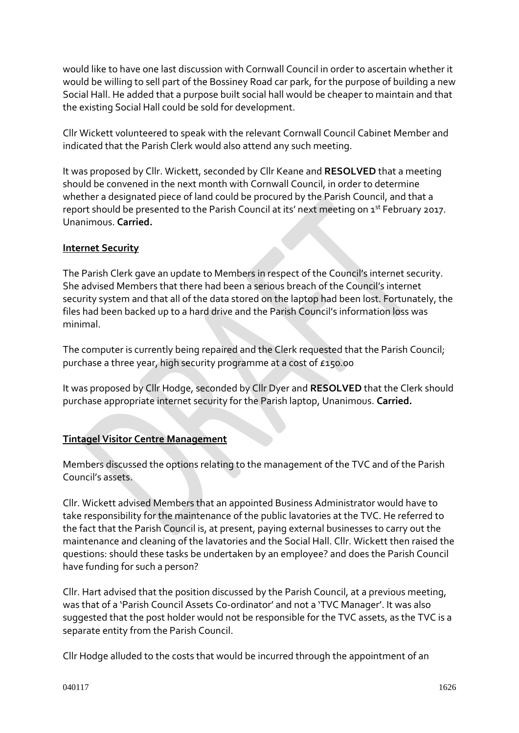would like to have one last discussion with Cornwall Council in order to ascertain whether it would be willing to sell part of the Bossiney Road car park, for the purpose of building a new Social Hall. He added that a purpose built social hall would be cheaper to maintain and that the existing Social Hall could be sold for development.

Cllr Wickett volunteered to speak with the relevant Cornwall Council Cabinet Member and indicated that the Parish Clerk would also attend any such meeting.

It was proposed by Cllr. Wickett, seconded by Cllr Keane and **RESOLVED** that a meeting should be convened in the next month with Cornwall Council, in order to determine whether a designated piece of land could be procured by the Parish Council, and that a report should be presented to the Parish Council at its' next meeting on 1<sup>st</sup> February 2017. Unanimous. **Carried.**

## **Internet Security**

The Parish Clerk gave an update to Members in respect of the Council's internet security. She advised Members that there had been a serious breach of the Council's internet security system and that all of the data stored on the laptop had been lost. Fortunately, the files had been backed up to a hard drive and the Parish Council's information loss was minimal.

The computer is currently being repaired and the Clerk requested that the Parish Council; purchase a three year, high security programme at a cost of £150.00

It was proposed by Cllr Hodge, seconded by Cllr Dyer and **RESOLVED** that the Clerk should purchase appropriate internet security for the Parish laptop, Unanimous. **Carried.**

## **Tintagel Visitor Centre Management**

Members discussed the options relating to the management of the TVC and of the Parish Council's assets.

Cllr. Wickett advised Members that an appointed Business Administrator would have to take responsibility for the maintenance of the public lavatories at the TVC. He referred to the fact that the Parish Council is, at present, paying external businesses to carry out the maintenance and cleaning of the lavatories and the Social Hall. Cllr. Wickett then raised the questions: should these tasks be undertaken by an employee? and does the Parish Council have funding for such a person?

Cllr. Hart advised that the position discussed by the Parish Council, at a previous meeting, was that of a 'Parish Council Assets Co-ordinator' and not a 'TVC Manager'. It was also suggested that the post holder would not be responsible for the TVC assets, as the TVC is a separate entity from the Parish Council.

Cllr Hodge alluded to the costs that would be incurred through the appointment of an